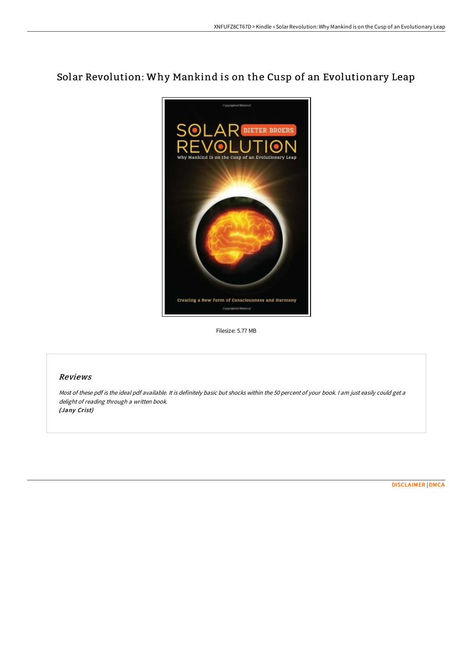# Solar Revolution: Why Mankind is on the Cusp of an Evolutionary Leap



Filesize: 5.77 MB

### Reviews

Most of these pdf is the ideal pdf available. It is definitely basic but shocks within the <sup>50</sup> percent of your book. <sup>I</sup> am just easily could get <sup>a</sup> delight of reading through <sup>a</sup> written book. (Jany Crist)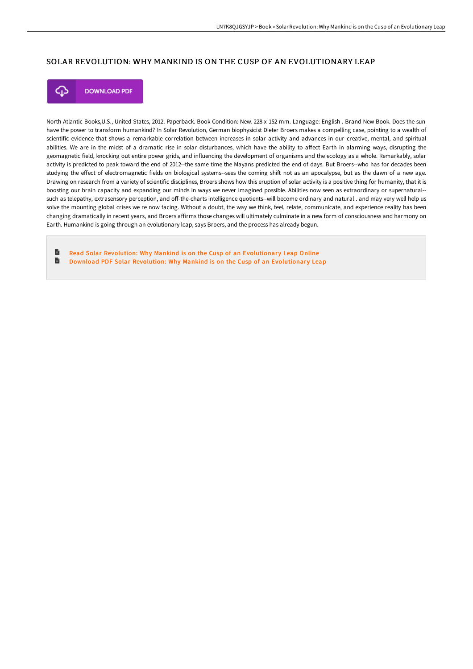## SOLAR REVOLUTION: WHY MANKIND IS ON THE CUSP OF AN EVOLUTIONARY LEAP



**DOWNLOAD PDF** 

North Atlantic Books,U.S., United States, 2012. Paperback. Book Condition: New. 228 x 152 mm. Language: English . Brand New Book. Does the sun have the power to transform humankind? In Solar Revolution, German biophysicist Dieter Broers makes a compelling case, pointing to a wealth of scientific evidence that shows a remarkable correlation between increases in solar activity and advances in our creative, mental, and spiritual abilities. We are in the midst of a dramatic rise in solar disturbances, which have the ability to affect Earth in alarming ways, disrupting the geomagnetic field, knocking out entire power grids, and influencing the development of organisms and the ecology as a whole. Remarkably, solar activity is predicted to peak toward the end of 2012--the same time the Mayans predicted the end of days. But Broers--who has for decades been studying the effect of electromagnetic fields on biological systems--sees the coming shift not as an apocalypse, but as the dawn of a new age. Drawing on research from a variety of scientific disciplines, Broers shows how this eruption of solar activity is a positive thing for humanity, that it is boosting our brain capacity and expanding our minds in ways we never imagined possible. Abilities now seen as extraordinary or supernatural- such as telepathy, extrasensory perception, and off-the-charts intelligence quotients--will become ordinary and natural, and may very well help us solve the mounting global crises we re now facing. Without a doubt, the way we think, feel, relate, communicate, and experience reality has been changing dramatically in recent years, and Broers affirms those changes will ultimately culminate in a new form of consciousness and harmony on Earth. Humankind is going through an evolutionary leap, says Broers, and the process has already begun.

**D** Read Solar Revolution: Why Mankind is on the Cusp of an [Evolutionar](http://albedo.media/solar-revolution-why-mankind-is-on-the-cusp-of-a.html)y Leap Online  $\blacksquare$ Download PDF Solar Revolution: Why Mankind is on the Cusp of an [Evolutionar](http://albedo.media/solar-revolution-why-mankind-is-on-the-cusp-of-a.html)y Leap